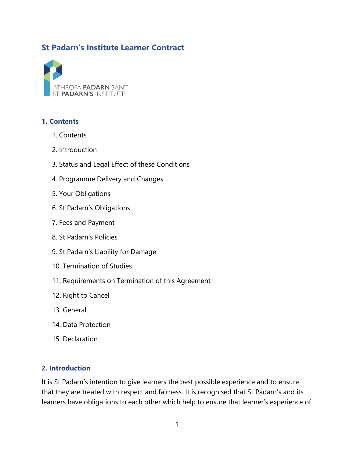# **St Padarn's Institute Learner Contract**



#### **1. Contents**

- 1. Contents
- 2. Introduction
- 3. Status and Legal Effect of these Conditions
- 4. Programme Delivery and Changes
- 5. Your Obligations
- 6. St Padarn's Obligations
- 7. Fees and Payment
- 8. St Padarn's Policies
- 9. St Padarn's Liability for Damage
- 10. Termination of Studies
- 11. Requirements on Termination of this Agreement
- 12. Right to Cancel
- 13. General
- 14. Data Protection
- 15. Declaration

#### **2. Introduction**

It is St Padarn's intention to give learners the best possible experience and to ensure that they are treated with respect and fairness. It is recognised that St Padarn's and its learners have obligations to each other which help to ensure that learner's experience of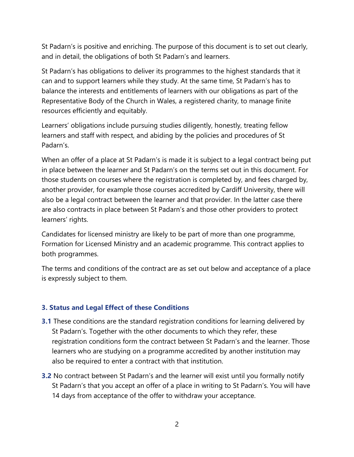St Padarn's is positive and enriching. The purpose of this document is to set out clearly, and in detail, the obligations of both St Padarn's and learners.

St Padarn's has obligations to deliver its programmes to the highest standards that it can and to support learners while they study. At the same time, St Padarn's has to balance the interests and entitlements of learners with our obligations as part of the Representative Body of the Church in Wales, a registered charity, to manage finite resources efficiently and equitably.

Learners' obligations include pursuing studies diligently, honestly, treating fellow learners and staff with respect, and abiding by the policies and procedures of St Padarn's.

When an offer of a place at St Padarn's is made it is subject to a legal contract being put in place between the learner and St Padarn's on the terms set out in this document. For those students on courses where the registration is completed by, and fees charged by, another provider, for example those courses accredited by Cardiff University, there will also be a legal contract between the learner and that provider. In the latter case there are also contracts in place between St Padarn's and those other providers to protect learners' rights.

Candidates for licensed ministry are likely to be part of more than one programme, Formation for Licensed Ministry and an academic programme. This contract applies to both programmes.

The terms and conditions of the contract are as set out below and acceptance of a place is expressly subject to them.

# **3. Status and Legal Effect of these Conditions**

- **3.1** These conditions are the standard registration conditions for learning delivered by St Padarn's. Together with the other documents to which they refer, these registration conditions form the contract between St Padarn's and the learner. Those learners who are studying on a programme accredited by another institution may also be required to enter a contract with that institution.
- **3.2** No contract between St Padarn's and the learner will exist until you formally notify St Padarn's that you accept an offer of a place in writing to St Padarn's. You will have 14 days from acceptance of the offer to withdraw your acceptance.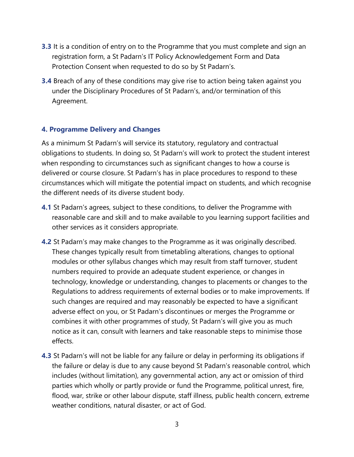- **3.3** It is a condition of entry on to the Programme that you must complete and sign an registration form, a St Padarn's IT Policy Acknowledgement Form and Data Protection Consent when requested to do so by St Padarn's.
- **3.4** Breach of any of these conditions may give rise to action being taken against you under the Disciplinary Procedures of St Padarn's, and/or termination of this Agreement.

#### **4. Programme Delivery and Changes**

As a minimum St Padarn's will service its statutory, regulatory and contractual obligations to students. In doing so, St Padarn's will work to protect the student interest when responding to circumstances such as significant changes to how a course is delivered or course closure. St Padarn's has in place procedures to respond to these circumstances which will mitigate the potential impact on students, and which recognise the different needs of its diverse student body.

- **4.1** St Padarn's agrees, subject to these conditions, to deliver the Programme with reasonable care and skill and to make available to you learning support facilities and other services as it considers appropriate.
- **4.2** St Padarn's may make changes to the Programme as it was originally described. These changes typically result from timetabling alterations, changes to optional modules or other syllabus changes which may result from staff turnover, student numbers required to provide an adequate student experience, or changes in technology, knowledge or understanding, changes to placements or changes to the Regulations to address requirements of external bodies or to make improvements. If such changes are required and may reasonably be expected to have a significant adverse effect on you, or St Padarn's discontinues or merges the Programme or combines it with other programmes of study, St Padarn's will give you as much notice as it can, consult with learners and take reasonable steps to minimise those effects.
- **4.3** St Padarn's will not be liable for any failure or delay in performing its obligations if the failure or delay is due to any cause beyond St Padarn's reasonable control, which includes (without limitation), any governmental action, any act or omission of third parties which wholly or partly provide or fund the Programme, political unrest, fire, flood, war, strike or other labour dispute, staff illness, public health concern, extreme weather conditions, natural disaster, or act of God.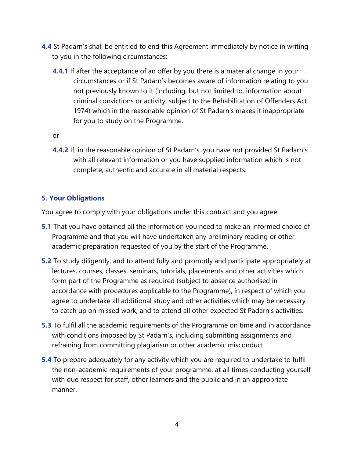- **4.4** St Padarn's shall be entitled to end this Agreement immediately by notice in writing to you in the following circumstances:
	- **4.4.1** If after the acceptance of an offer by you there is a material change in your circumstances or if St Padarn's becomes aware of information relating to you not previously known to it (including, but not limited to, information about criminal convictions or activity, subject to the Rehabilitation of Offenders Act 1974) which in the reasonable opinion of St Padarn's makes it inappropriate for you to study on the Programme.

or

**4.4.2** If, in the reasonable opinion of St Padarn's, you have not provided St Padarn's with all relevant information or you have supplied information which is not complete, authentic and accurate in all material respects.

# **5. Your Obligations**

You agree to comply with your obligations under this contract and you agree:

- **5.1** That you have obtained all the information you need to make an informed choice of Programme and that you will have undertaken any preliminary reading or other academic preparation requested of you by the start of the Programme.
- **5.2** To study diligently, and to attend fully and promptly and participate appropriately at lectures, courses, classes, seminars, tutorials, placements and other activities which form part of the Programme as required (subject to absence authorised in accordance with procedures applicable to the Programme), in respect of which you agree to undertake all additional study and other activities which may be necessary to catch up on missed work, and to attend all other expected St Padarn's activities.
- **5.3** To fulfil all the academic requirements of the Programme on time and in accordance with conditions imposed by St Padarn's, including submitting assignments and refraining from committing plagiarism or other academic misconduct.
- **5.4** To prepare adequately for any activity which you are required to undertake to fulfil the non-academic requirements of your programme, at all times conducting yourself with due respect for staff, other learners and the public and in an appropriate manner.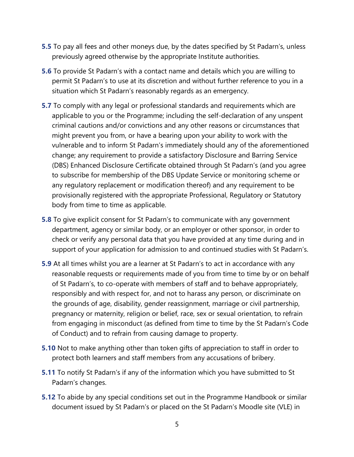- **5.5** To pay all fees and other moneys due, by the dates specified by St Padarn's, unless previously agreed otherwise by the appropriate Institute authorities.
- **5.6** To provide St Padarn's with a contact name and details which you are willing to permit St Padarn's to use at its discretion and without further reference to you in a situation which St Padarn's reasonably regards as an emergency.
- **5.7** To comply with any legal or professional standards and requirements which are applicable to you or the Programme; including the self-declaration of any unspent criminal cautions and/or convictions and any other reasons or circumstances that might prevent you from, or have a bearing upon your ability to work with the vulnerable and to inform St Padarn's immediately should any of the aforementioned change; any requirement to provide a satisfactory Disclosure and Barring Service (DBS) Enhanced Disclosure Certificate obtained through St Padarn's (and you agree to subscribe for membership of the DBS Update Service or monitoring scheme or any regulatory replacement or modification thereof) and any requirement to be provisionally registered with the appropriate Professional, Regulatory or Statutory body from time to time as applicable.
- **5.8** To give explicit consent for St Padarn's to communicate with any government department, agency or similar body, or an employer or other sponsor, in order to check or verify any personal data that you have provided at any time during and in support of your application for admission to and continued studies with St Padarn's.
- **5.9** At all times whilst you are a learner at St Padarn's to act in accordance with any reasonable requests or requirements made of you from time to time by or on behalf of St Padarn's, to co-operate with members of staff and to behave appropriately, responsibly and with respect for, and not to harass any person, or discriminate on the grounds of age, disability, gender reassignment, marriage or civil partnership, pregnancy or maternity, religion or belief, race, sex or sexual orientation, to refrain from engaging in misconduct (as defined from time to time by the St Padarn's Code of Conduct) and to refrain from causing damage to property.
- **5.10** Not to make anything other than token gifts of appreciation to staff in order to protect both learners and staff members from any accusations of bribery.
- **5.11** To notify St Padarn's if any of the information which you have submitted to St Padarn's changes.
- **5.12** To abide by any special conditions set out in the Programme Handbook or similar document issued by St Padarn's or placed on the St Padarn's Moodle site (VLE) in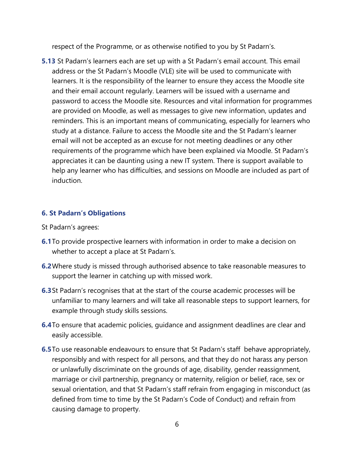respect of the Programme, or as otherwise notified to you by St Padarn's.

**5.13** St Padarn's learners each are set up with a St Padarn's email account. This email address or the St Padarn's Moodle (VLE) site will be used to communicate with learners. It is the responsibility of the learner to ensure they access the Moodle site and their email account regularly. Learners will be issued with a username and password to access the Moodle site. Resources and vital information for programmes are provided on Moodle, as well as messages to give new information, updates and reminders. This is an important means of communicating, especially for learners who study at a distance. Failure to access the Moodle site and the St Padarn's learner email will not be accepted as an excuse for not meeting deadlines or any other requirements of the programme which have been explained via Moodle. St Padarn's appreciates it can be daunting using a new IT system. There is support available to help any learner who has difficulties, and sessions on Moodle are included as part of induction.

# **6. St Padarn's Obligations**

- St Padarn's agrees:
- **6.1**To provide prospective learners with information in order to make a decision on whether to accept a place at St Padarn's.
- **6.2**Where study is missed through authorised absence to take reasonable measures to support the learner in catching up with missed work.
- **6.3**St Padarn's recognises that at the start of the course academic processes will be unfamiliar to many learners and will take all reasonable steps to support learners, for example through study skills sessions.
- **6.4**To ensure that academic policies, guidance and assignment deadlines are clear and easily accessible.
- **6.5** To use reasonable endeavours to ensure that St Padarn's staff behave appropriately, responsibly and with respect for all persons, and that they do not harass any person or unlawfully discriminate on the grounds of age, disability, gender reassignment, marriage or civil partnership, pregnancy or maternity, religion or belief, race, sex or sexual orientation, and that St Padarn's staff refrain from engaging in misconduct (as defined from time to time by the St Padarn's Code of Conduct) and refrain from causing damage to property.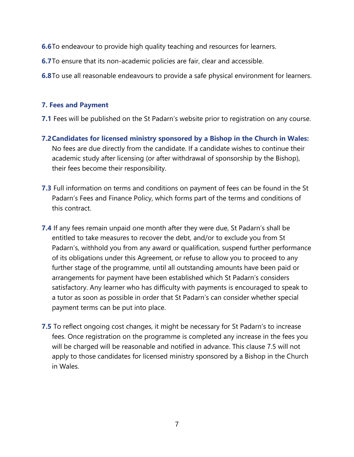- **6.6**To endeavour to provide high quality teaching and resources for learners.
- **6.7**To ensure that its non-academic policies are fair, clear and accessible.
- **6.8**To use all reasonable endeavours to provide a safe physical environment for learners.

#### **7. Fees and Payment**

- **7.1** Fees will be published on the St Padarn's website prior to registration on any course.
- **7.2Candidates for licensed ministry sponsored by a Bishop in the Church in Wales:** No fees are due directly from the candidate. If a candidate wishes to continue their academic study after licensing (or after withdrawal of sponsorship by the Bishop), their fees become their responsibility.
- **7.3** Full information on terms and conditions on payment of fees can be found in the St Padarn's Fees and Finance Policy, which forms part of the terms and conditions of this contract.
- **7.4** If any fees remain unpaid one month after they were due, St Padarn's shall be entitled to take measures to recover the debt, and/or to exclude you from St Padarn's, withhold you from any award or qualification, suspend further performance of its obligations under this Agreement, or refuse to allow you to proceed to any further stage of the programme, until all outstanding amounts have been paid or arrangements for payment have been established which St Padarn's considers satisfactory. Any learner who has difficulty with payments is encouraged to speak to a tutor as soon as possible in order that St Padarn's can consider whether special payment terms can be put into place.
- **7.5** To reflect ongoing cost changes, it might be necessary for St Padarn's to increase fees. Once registration on the programme is completed any increase in the fees you will be charged will be reasonable and notified in advance. This clause 7.5 will not apply to those candidates for licensed ministry sponsored by a Bishop in the Church in Wales.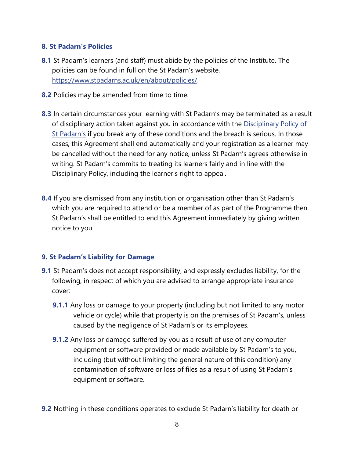# **8. St Padarn's Policies**

- **8.1** St Padarn's learners (and staff) must abide by the policies of the Institute. The policies can be found in full on the St Padarn's website, https://www.stpadarns.ac.uk/en/about/policies/.
- **8.2** Policies may be amended from time to time.
- **8.3** In certain circumstances your learning with St Padarn's may be terminated as a result of disciplinary action taken against you in accordance with the Disciplinary Policy of St Padarn's if you break any of these conditions and the breach is serious. In those cases, this Agreement shall end automatically and your registration as a learner may be cancelled without the need for any notice, unless St Padarn's agrees otherwise in writing. St Padarn's commits to treating its learners fairly and in line with the Disciplinary Policy, including the learner's right to appeal.
- **8.4** If you are dismissed from any institution or organisation other than St Padarn's which you are required to attend or be a member of as part of the Programme then St Padarn's shall be entitled to end this Agreement immediately by giving written notice to you.

# **9. St Padarn's Liability for Damage**

- **9.1** St Padarn's does not accept responsibility, and expressly excludes liability, for the following, in respect of which you are advised to arrange appropriate insurance cover:
	- **9.1.1** Any loss or damage to your property (including but not limited to any motor vehicle or cycle) while that property is on the premises of St Padarn's, unless caused by the negligence of St Padarn's or its employees.
	- **9.1.2** Any loss or damage suffered by you as a result of use of any computer equipment or software provided or made available by St Padarn's to you, including (but without limiting the general nature of this condition) any contamination of software or loss of files as a result of using St Padarn's equipment or software.

**9.2** Nothing in these conditions operates to exclude St Padarn's liability for death or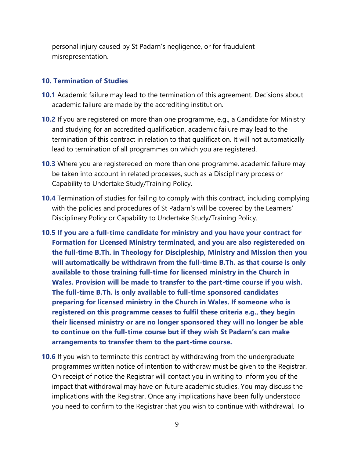personal injury caused by St Padarn's negligence, or for fraudulent misrepresentation.

#### **10. Termination of Studies**

- **10.1** Academic failure may lead to the termination of this agreement. Decisions about academic failure are made by the accrediting institution.
- **10.2** If you are registered on more than one programme, e.g., a Candidate for Ministry and studying for an accredited qualification, academic failure may lead to the termination of this contract in relation to that qualification. It will not automatically lead to termination of all programmes on which you are registered.
- **10.3** Where you are registereded on more than one programme, academic failure may be taken into account in related processes, such as a Disciplinary process or Capability to Undertake Study/Training Policy.
- **10.4** Termination of studies for failing to comply with this contract, including complying with the policies and procedures of St Padarn's will be covered by the Learners' Disciplinary Policy or Capability to Undertake Study/Training Policy.
- **10.5 If you are a full-time candidate for ministry and you have your contract for Formation for Licensed Ministry terminated, and you are also registereded on the full-time B.Th. in Theology for Discipleship, Ministry and Mission then you will automatically be withdrawn from the full-time B.Th. as that course is only available to those training full-time for licensed ministry in the Church in Wales. Provision will be made to transfer to the part-time course if you wish. The full-time B.Th. is only available to full-time sponsored candidates preparing for licensed ministry in the Church in Wales. If someone who is registered on this programme ceases to fulfil these criteria e.g., they begin their licensed ministry or are no longer sponsored they will no longer be able to continue on the full-time course but if they wish St Padarn's can make arrangements to transfer them to the part-time course.**
- **10.6** If you wish to terminate this contract by withdrawing from the undergraduate programmes written notice of intention to withdraw must be given to the Registrar. On receipt of notice the Registrar will contact you in writing to inform you of the impact that withdrawal may have on future academic studies. You may discuss the implications with the Registrar. Once any implications have been fully understood you need to confirm to the Registrar that you wish to continue with withdrawal. To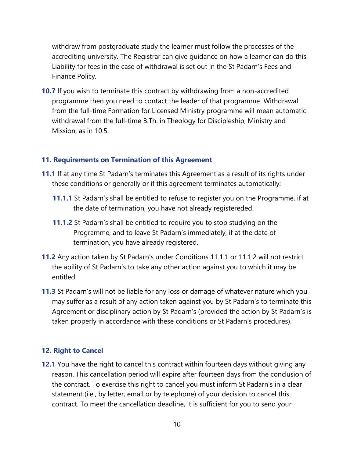withdraw from postgraduate study the learner must follow the processes of the accrediting university. The Registrar can give guidance on how a learner can do this. Liability for fees in the case of withdrawal is set out in the St Padarn's Fees and Finance Policy.

**10.7** If you wish to terminate this contract by withdrawing from a non-accredited programme then you need to contact the leader of that programme. Withdrawal from the full-time Formation for Licensed Ministry programme will mean automatic withdrawal from the full-time B.Th. in Theology for Discipleship, Ministry and Mission, as in 10.5.

#### **11. Requirements on Termination of this Agreement**

- **11.1** If at any time St Padarn's terminates this Agreement as a result of its rights under these conditions or generally or if this agreement terminates automatically:
	- **11.1.1** St Padarn's shall be entitled to refuse to register you on the Programme, if at the date of termination, you have not already registereded.
	- **11.1.2** St Padarn's shall be entitled to require you to stop studying on the Programme, and to leave St Padarn's immediately, if at the date of termination, you have already registered.
- **11.2** Any action taken by St Padarn's under Conditions 11.1.1 or 11.1.2 will not restrict the ability of St Padarn's to take any other action against you to which it may be entitled.
- **11.3** St Padarn's will not be liable for any loss or damage of whatever nature which you may suffer as a result of any action taken against you by St Padarn's to terminate this Agreement or disciplinary action by St Padarn's (provided the action by St Padarn's is taken properly in accordance with these conditions or St Padarn's procedures).

# **12. Right to Cancel**

**12.1** You have the right to cancel this contract within fourteen days without giving any reason. This cancellation period will expire after fourteen days from the conclusion of the contract. To exercise this right to cancel you must inform St Padarn's in a clear statement (i.e., by letter, email or by telephone) of your decision to cancel this contract. To meet the cancellation deadline, it is sufficient for you to send your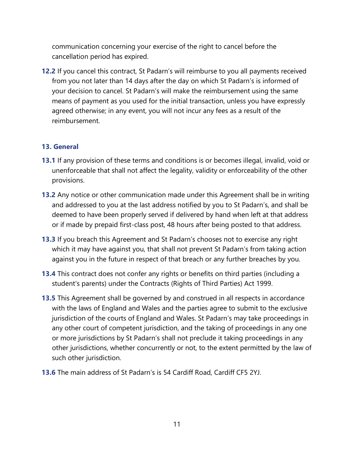communication concerning your exercise of the right to cancel before the cancellation period has expired.

**12.2** If you cancel this contract, St Padarn's will reimburse to you all payments received from you not later than 14 days after the day on which St Padarn's is informed of your decision to cancel. St Padarn's will make the reimbursement using the same means of payment as you used for the initial transaction, unless you have expressly agreed otherwise; in any event, you will not incur any fees as a result of the reimbursement.

#### **13. General**

- **13.1** If any provision of these terms and conditions is or becomes illegal, invalid, void or unenforceable that shall not affect the legality, validity or enforceability of the other provisions.
- **13.2** Any notice or other communication made under this Agreement shall be in writing and addressed to you at the last address notified by you to St Padarn's, and shall be deemed to have been properly served if delivered by hand when left at that address or if made by prepaid first-class post, 48 hours after being posted to that address.
- **13.3** If you breach this Agreement and St Padarn's chooses not to exercise any right which it may have against you, that shall not prevent St Padarn's from taking action against you in the future in respect of that breach or any further breaches by you.
- **13.4** This contract does not confer any rights or benefits on third parties (including a student's parents) under the Contracts (Rights of Third Parties) Act 1999.
- **13.5** This Agreement shall be governed by and construed in all respects in accordance with the laws of England and Wales and the parties agree to submit to the exclusive jurisdiction of the courts of England and Wales. St Padarn's may take proceedings in any other court of competent jurisdiction, and the taking of proceedings in any one or more jurisdictions by St Padarn's shall not preclude it taking proceedings in any other jurisdictions, whether concurrently or not, to the extent permitted by the law of such other jurisdiction.
- **13.6** The main address of St Padarn's is 54 Cardiff Road, Cardiff CF5 2YJ.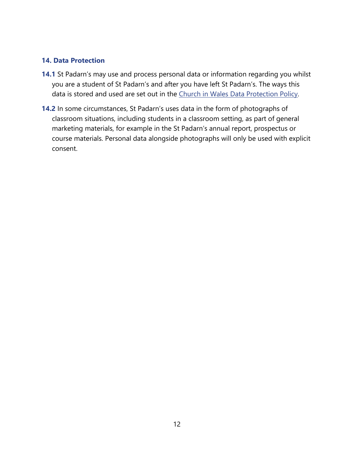# **14. Data Protection**

- **14.1** St Padarn's may use and process personal data or information regarding you whilst you are a student of St Padarn's and after you have left St Padarn's. The ways this data is stored and used are set out in the [Church in Wales Data Protection Policy.](https://www.churchinwales.org.uk/privacy-notice/)
- **14.2** In some circumstances, St Padarn's uses data in the form of photographs of classroom situations, including students in a classroom setting, as part of general marketing materials, for example in the St Padarn's annual report, prospectus or course materials. Personal data alongside photographs will only be used with explicit consent.